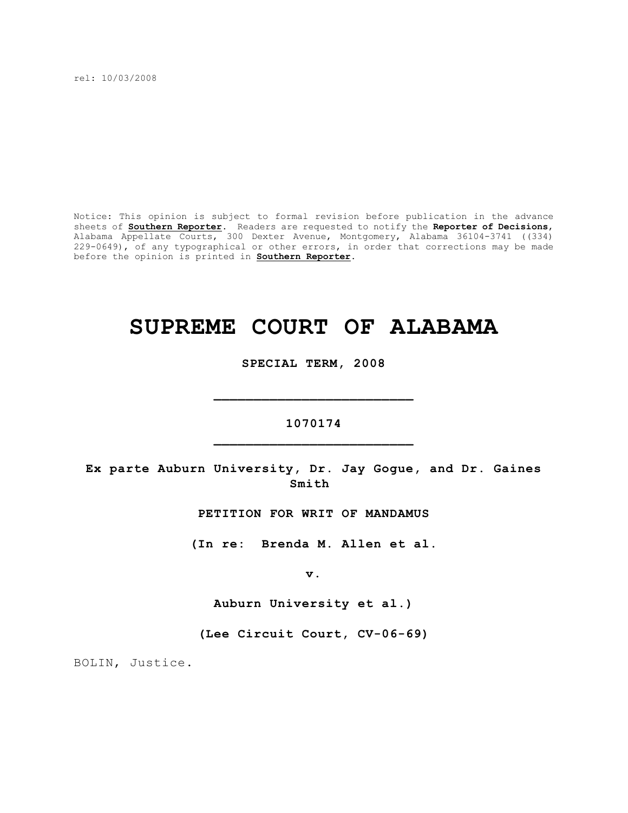rel: 10/03/2008

Notice: This opinion is subject to formal revision before publication in the advance sheets of **Southern Reporter**. Readers are requested to notify the **Reporter of Decisions**, Alabama Appellate Courts, 300 Dexter Avenue, Montgomery, Alabama 36104-3741 ((334) 229-0649), of any typographical or other errors, in order that corrections may be made before the opinion is printed in **Southern Reporter**.

# **SUPREME COURT OF ALABAMA**

**SPECIAL TERM, 2008**

# **1070174 \_\_\_\_\_\_\_\_\_\_\_\_\_\_\_\_\_\_\_\_\_\_\_\_\_**

**\_\_\_\_\_\_\_\_\_\_\_\_\_\_\_\_\_\_\_\_\_\_\_\_\_**

**Ex parte Auburn University, Dr. Jay Gogue, and Dr. Gaines Smith** 

**PETITION FOR WRIT OF MANDAMUS**

**(In re: Brenda M. Allen et al.**

**v.**

**Auburn University et al.)**

**(Lee Circuit Court, CV-06-69)**

BOLIN, Justice.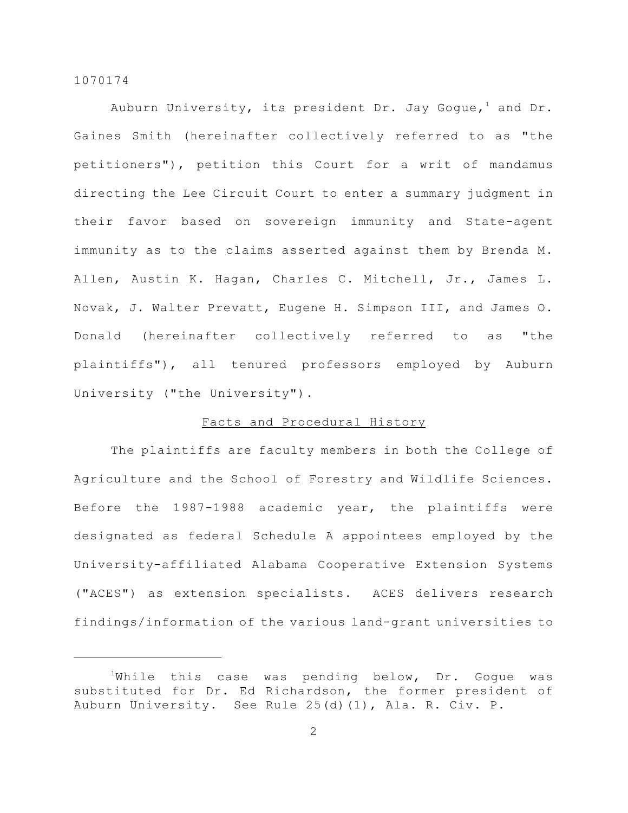Auburn University, its president Dr. Jay Gogue,<sup>1</sup> and Dr. Gaines Smith (hereinafter collectively referred to as "the petitioners"), petition this Court for a writ of mandamus directing the Lee Circuit Court to enter a summary judgment in their favor based on sovereign immunity and State-agent immunity as to the claims asserted against them by Brenda M. Allen, Austin K. Hagan, Charles C. Mitchell, Jr., James L. Novak, J. Walter Prevatt, Eugene H. Simpson III, and James O. Donald (hereinafter collectively referred to as "the plaintiffs"), all tenured professors employed by Auburn University ("the University").

# Facts and Procedural History

The plaintiffs are faculty members in both the College of Agriculture and the School of Forestry and Wildlife Sciences. Before the 1987-1988 academic year, the plaintiffs were designated as federal Schedule A appointees employed by the University-affiliated Alabama Cooperative Extension Systems ("ACES") as extension specialists. ACES delivers research findings/information of the various land-grant universities to

 $1$ While this case was pending below, Dr. Gogue was substituted for Dr. Ed Richardson, the former president of Auburn University. See Rule 25(d)(1), Ala. R. Civ. P.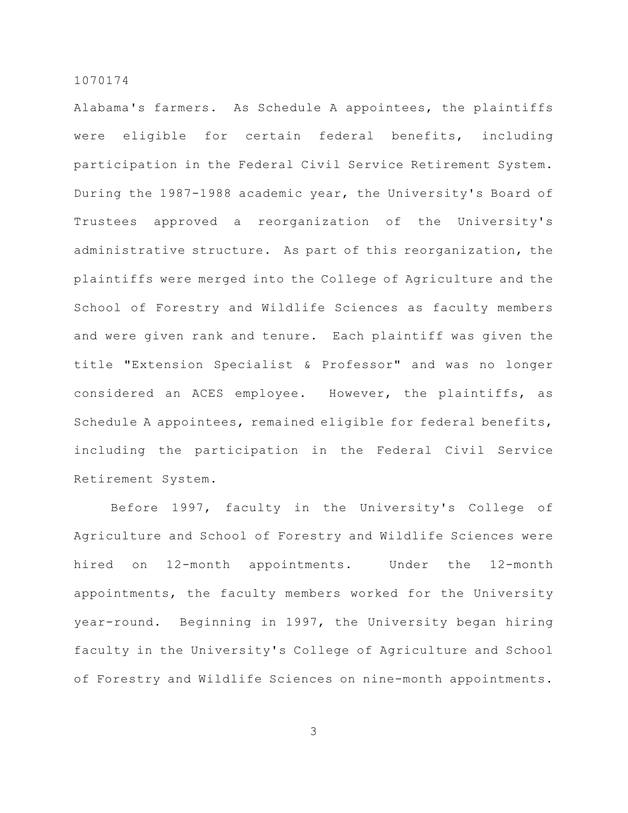Alabama's farmers. As Schedule A appointees, the plaintiffs were eligible for certain federal benefits, including participation in the Federal Civil Service Retirement System. During the 1987-1988 academic year, the University's Board of Trustees approved a reorganization of the University's administrative structure. As part of this reorganization, the plaintiffs were merged into the College of Agriculture and the School of Forestry and Wildlife Sciences as faculty members and were given rank and tenure. Each plaintiff was given the title "Extension Specialist & Professor" and was no longer considered an ACES employee. However, the plaintiffs, as Schedule A appointees, remained eligible for federal benefits, including the participation in the Federal Civil Service Retirement System.

Before 1997, faculty in the University's College of Agriculture and School of Forestry and Wildlife Sciences were hired on 12-month appointments. Under the 12-month appointments, the faculty members worked for the University year-round. Beginning in 1997, the University began hiring faculty in the University's College of Agriculture and School of Forestry and Wildlife Sciences on nine-month appointments.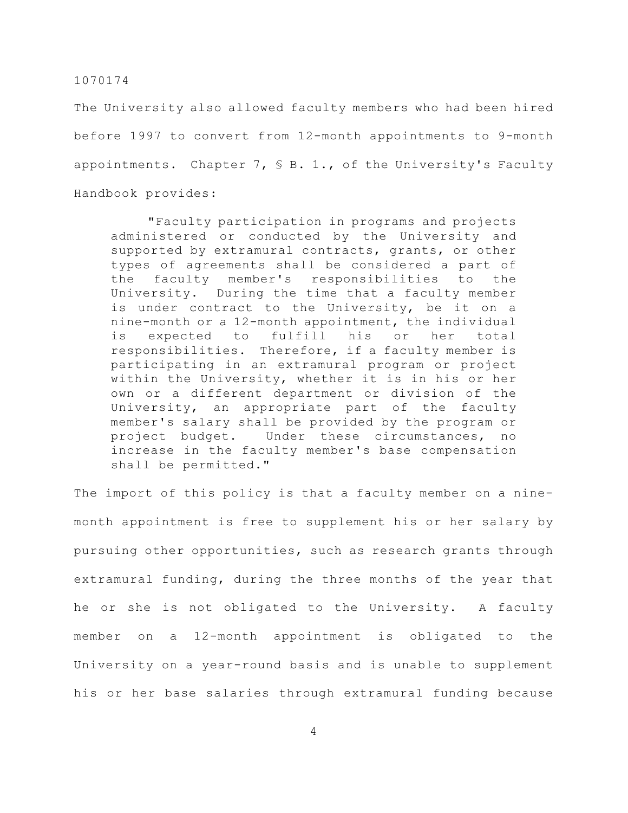The University also allowed faculty members who had been hired before 1997 to convert from 12-month appointments to 9-month appointments. Chapter 7, § B. 1., of the University's Faculty Handbook provides:

"Faculty participation in programs and projects administered or conducted by the University and supported by extramural contracts, grants, or other types of agreements shall be considered a part of the faculty member's responsibilities to the University. During the time that a faculty member is under contract to the University, be it on a nine-month or a 12-month appointment, the individual is expected to fulfill his or her total responsibilities. Therefore, if a faculty member is participating in an extramural program or project within the University, whether it is in his or her own or a different department or division of the University, an appropriate part of the faculty member's salary shall be provided by the program or project budget. Under these circumstances, no increase in the faculty member's base compensation shall be permitted."

The import of this policy is that a faculty member on a ninemonth appointment is free to supplement his or her salary by pursuing other opportunities, such as research grants through extramural funding, during the three months of the year that he or she is not obligated to the University. A faculty member on a 12-month appointment is obligated to the University on a year-round basis and is unable to supplement his or her base salaries through extramural funding because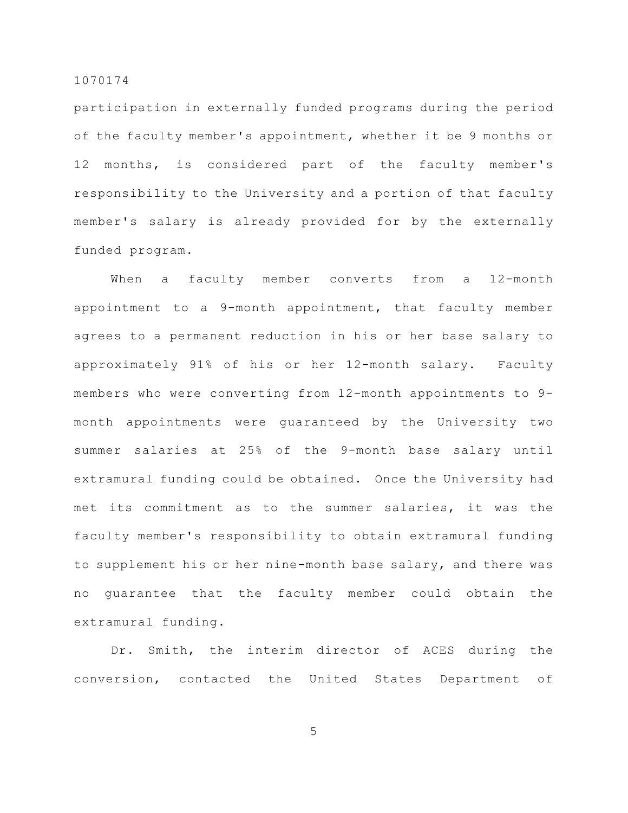participation in externally funded programs during the period of the faculty member's appointment, whether it be 9 months or 12 months, is considered part of the faculty member's responsibility to the University and a portion of that faculty member's salary is already provided for by the externally funded program.

When a faculty member converts from a 12-month appointment to a 9-month appointment, that faculty member agrees to a permanent reduction in his or her base salary to approximately 91% of his or her 12-month salary. Faculty members who were converting from 12-month appointments to 9 month appointments were guaranteed by the University two summer salaries at 25% of the 9-month base salary until extramural funding could be obtained. Once the University had met its commitment as to the summer salaries, it was the faculty member's responsibility to obtain extramural funding to supplement his or her nine-month base salary, and there was no guarantee that the faculty member could obtain the extramural funding.

Dr. Smith, the interim director of ACES during the conversion, contacted the United States Department of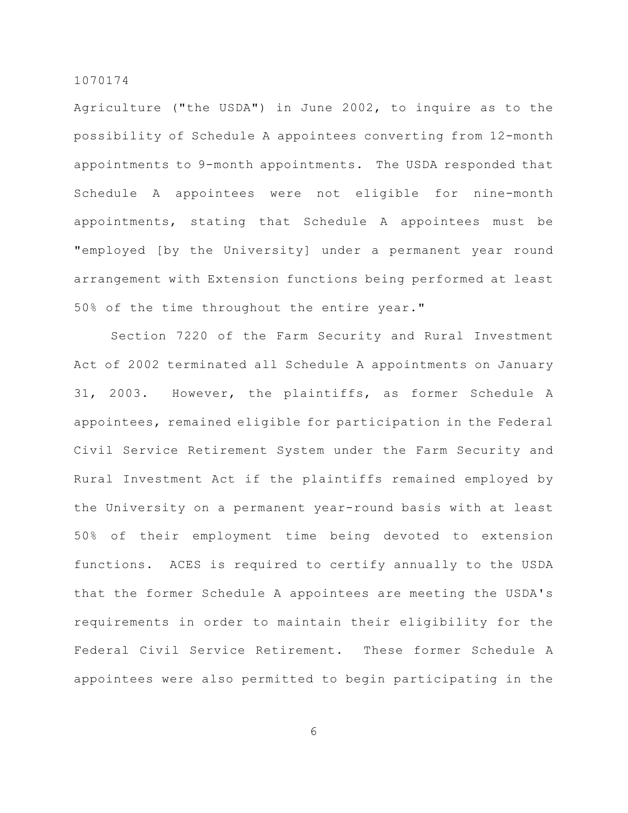Agriculture ("the USDA") in June 2002, to inquire as to the possibility of Schedule A appointees converting from 12-month appointments to 9-month appointments. The USDA responded that Schedule A appointees were not eligible for nine-month appointments, stating that Schedule A appointees must be "employed [by the University] under a permanent year round arrangement with Extension functions being performed at least 50% of the time throughout the entire year."

Section 7220 of the Farm Security and Rural Investment Act of 2002 terminated all Schedule A appointments on January 31, 2003. However, the plaintiffs, as former Schedule A appointees, remained eligible for participation in the Federal Civil Service Retirement System under the Farm Security and Rural Investment Act if the plaintiffs remained employed by the University on a permanent year-round basis with at least 50% of their employment time being devoted to extension functions. ACES is required to certify annually to the USDA that the former Schedule A appointees are meeting the USDA's requirements in order to maintain their eligibility for the Federal Civil Service Retirement. These former Schedule A appointees were also permitted to begin participating in the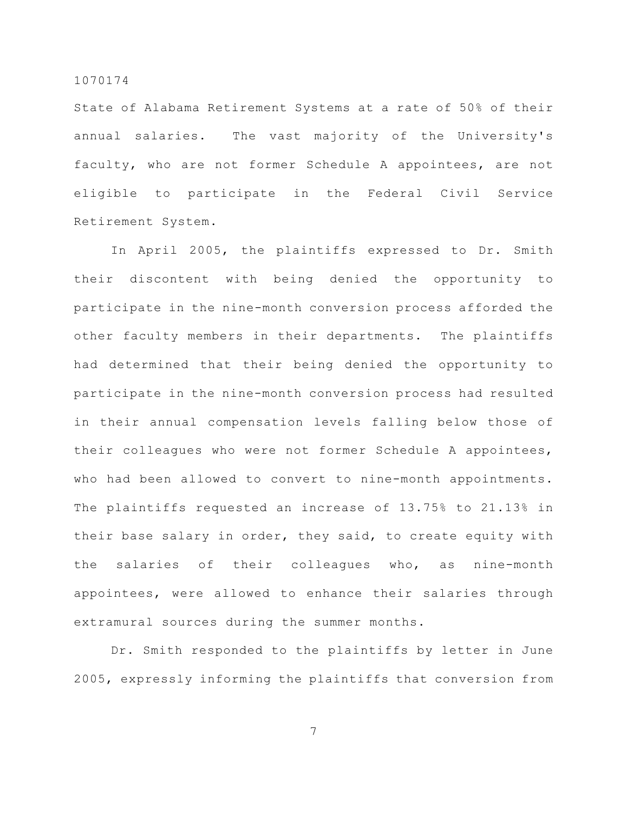State of Alabama Retirement Systems at a rate of 50% of their annual salaries. The vast majority of the University's faculty, who are not former Schedule A appointees, are not eligible to participate in the Federal Civil Service Retirement System.

In April 2005, the plaintiffs expressed to Dr. Smith their discontent with being denied the opportunity to participate in the nine-month conversion process afforded the other faculty members in their departments. The plaintiffs had determined that their being denied the opportunity to participate in the nine-month conversion process had resulted in their annual compensation levels falling below those of their colleagues who were not former Schedule A appointees, who had been allowed to convert to nine-month appointments. The plaintiffs requested an increase of 13.75% to 21.13% in their base salary in order, they said, to create equity with the salaries of their colleagues who, as nine-month appointees, were allowed to enhance their salaries through extramural sources during the summer months.

Dr. Smith responded to the plaintiffs by letter in June 2005, expressly informing the plaintiffs that conversion from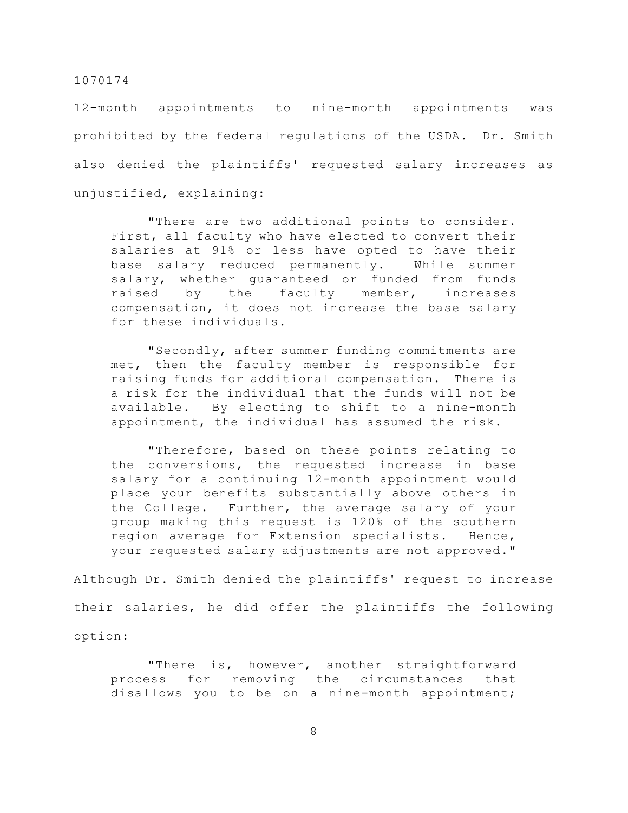12-month appointments to nine-month appointments was prohibited by the federal regulations of the USDA. Dr. Smith also denied the plaintiffs' requested salary increases as unjustified, explaining:

"There are two additional points to consider. First, all faculty who have elected to convert their salaries at 91% or less have opted to have their base salary reduced permanently. While summer salary, whether guaranteed or funded from funds raised by the faculty member, increases compensation, it does not increase the base salary for these individuals.

"Secondly, after summer funding commitments are met, then the faculty member is responsible for raising funds for additional compensation. There is a risk for the individual that the funds will not be available. By electing to shift to a nine-month appointment, the individual has assumed the risk.

"Therefore, based on these points relating to the conversions, the requested increase in base salary for a continuing 12-month appointment would place your benefits substantially above others in the College. Further, the average salary of your group making this request is 120% of the southern region average for Extension specialists. Hence, your requested salary adjustments are not approved."

Although Dr. Smith denied the plaintiffs' request to increase their salaries, he did offer the plaintiffs the following option:

"There is, however, another straightforward process for removing the circumstances that disallows you to be on a nine-month appointment;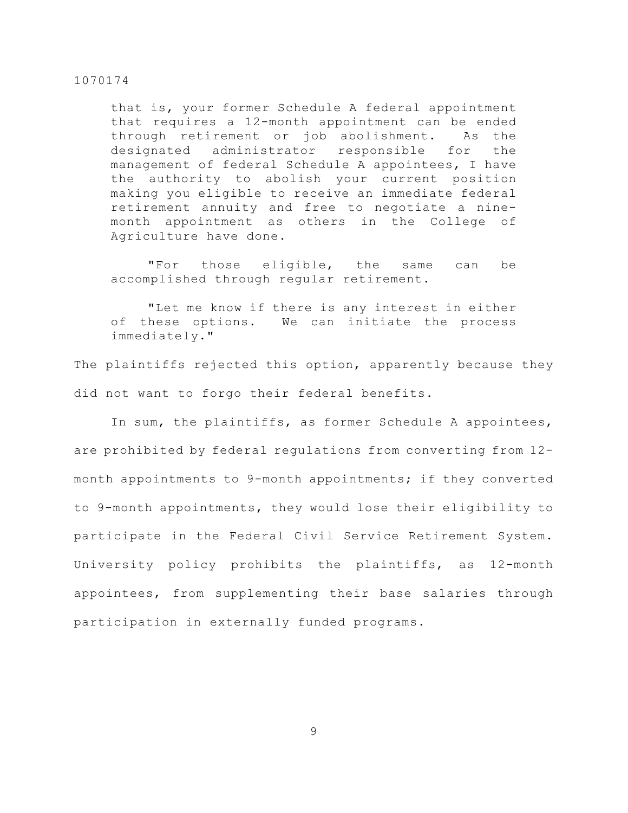that is, your former Schedule A federal appointment that requires a 12-month appointment can be ended through retirement or job abolishment. As the designated administrator responsible for the management of federal Schedule A appointees, I have the authority to abolish your current position making you eligible to receive an immediate federal retirement annuity and free to negotiate a ninemonth appointment as others in the College of Agriculture have done.

"For those eligible, the same can be accomplished through regular retirement.

"Let me know if there is any interest in either of these options. We can initiate the process immediately."

The plaintiffs rejected this option, apparently because they did not want to forgo their federal benefits.

In sum, the plaintiffs, as former Schedule A appointees, are prohibited by federal regulations from converting from 12 month appointments to 9-month appointments; if they converted to 9-month appointments, they would lose their eligibility to participate in the Federal Civil Service Retirement System. University policy prohibits the plaintiffs, as 12-month appointees, from supplementing their base salaries through participation in externally funded programs.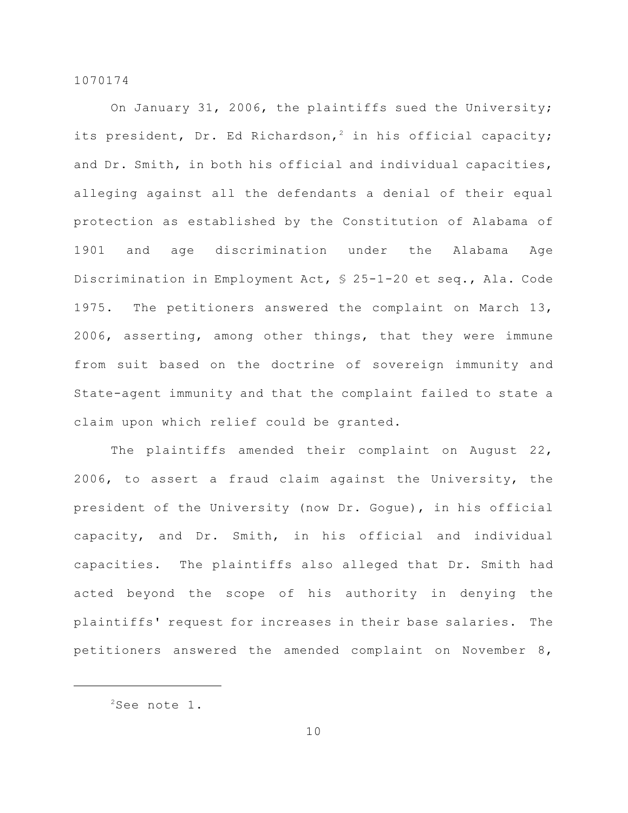On January 31, 2006, the plaintiffs sued the University; its president, Dr. Ed Richardson,<sup>2</sup> in his official capacity; and Dr. Smith, in both his official and individual capacities, alleging against all the defendants a denial of their equal protection as established by the Constitution of Alabama of 1901 and age discrimination under the Alabama Age Discrimination in Employment Act, § 25-1-20 et seq., Ala. Code 1975. The petitioners answered the complaint on March 13, 2006, asserting, among other things, that they were immune from suit based on the doctrine of sovereign immunity and State-agent immunity and that the complaint failed to state a claim upon which relief could be granted.

The plaintiffs amended their complaint on August 22, 2006, to assert a fraud claim against the University, the president of the University (now Dr. Gogue), in his official capacity, and Dr. Smith, in his official and individual capacities. The plaintiffs also alleged that Dr. Smith had acted beyond the scope of his authority in denying the plaintiffs' request for increases in their base salaries. The petitioners answered the amended complaint on November 8,

 $2$ See note 1.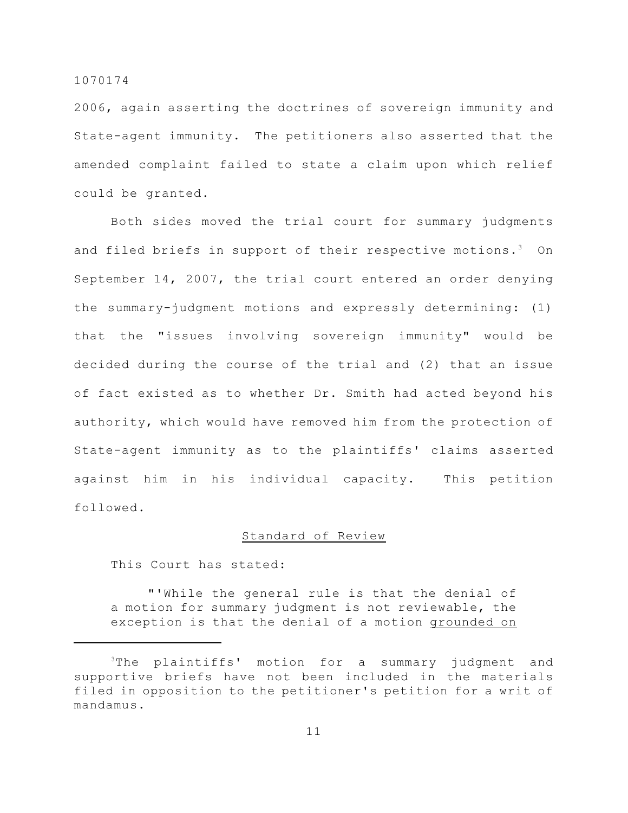2006, again asserting the doctrines of sovereign immunity and State-agent immunity. The petitioners also asserted that the amended complaint failed to state a claim upon which relief could be granted.

Both sides moved the trial court for summary judgments and filed briefs in support of their respective motions.<sup>3</sup> On September 14, 2007, the trial court entered an order denying the summary-judgment motions and expressly determining: (1) that the "issues involving sovereign immunity" would be decided during the course of the trial and (2) that an issue of fact existed as to whether Dr. Smith had acted beyond his authority, which would have removed him from the protection of State-agent immunity as to the plaintiffs' claims asserted against him in his individual capacity. This petition followed.

# Standard of Review

This Court has stated:

"'While the general rule is that the denial of a motion for summary judgment is not reviewable, the exception is that the denial of a motion grounded on

 $3$ The plaintiffs' motion for a summary judgment and supportive briefs have not been included in the materials filed in opposition to the petitioner's petition for a writ of mandamus.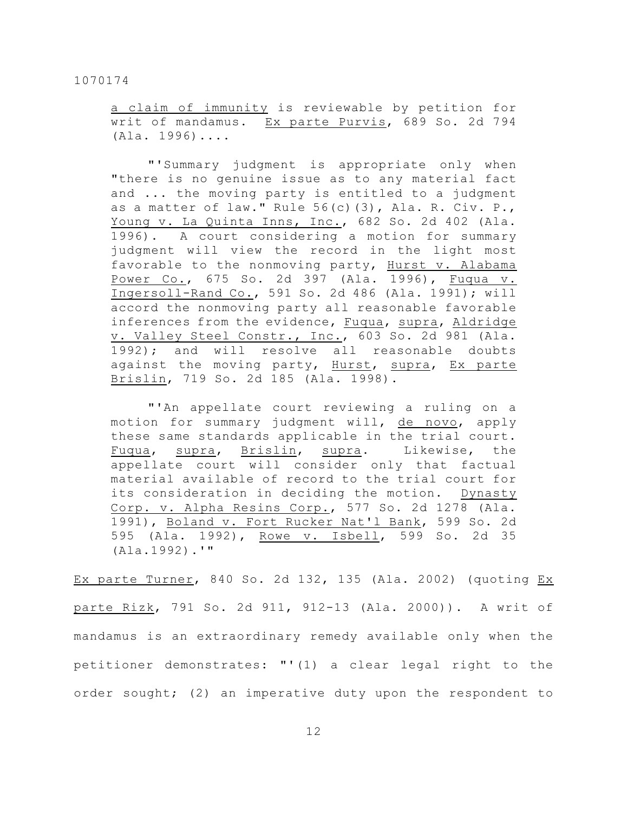a claim of immunity is reviewable by petition for writ of mandamus. Ex parte Purvis, 689 So. 2d 794 (Ala. 1996)....

"'Summary judgment is appropriate only when "there is no genuine issue as to any material fact and ... the moving party is entitled to a judgment as a matter of law." Rule  $56(c)(3)$ , Ala. R. Civ. P., Young v. La Quinta Inns, Inc., 682 So. 2d 402 (Ala. 1996). A court considering a motion for summary judgment will view the record in the light most favorable to the nonmoving party, Hurst v. Alabama Power Co., 675 So. 2d 397 (Ala. 1996), Fuqua v. Ingersoll-Rand Co., 591 So. 2d 486 (Ala. 1991); will accord the nonmoving party all reasonable favorable inferences from the evidence, Fuqua, supra, Aldridge v. Valley Steel Constr., Inc., 603 So. 2d 981 (Ala. 1992); and will resolve all reasonable doubts against the moving party, Hurst, supra, Ex parte Brislin, 719 So. 2d 185 (Ala. 1998).

"'An appellate court reviewing a ruling on a motion for summary judgment will, de novo, apply these same standards applicable in the trial court. Fuqua, supra, Brislin, supra. Likewise, the appellate court will consider only that factual material available of record to the trial court for its consideration in deciding the motion. Dynasty Corp. v. Alpha Resins Corp., 577 So. 2d 1278 (Ala. 1991), Boland v. Fort Rucker Nat'l Bank, 599 So. 2d 595 (Ala. 1992), Rowe v. Isbell, 599 So. 2d 35 (Ala.1992).'"

Ex parte Turner, 840 So. 2d 132, 135 (Ala. 2002) (quoting Ex parte Rizk, 791 So. 2d 911, 912-13 (Ala. 2000)). A writ of mandamus is an extraordinary remedy available only when the petitioner demonstrates: "'(1) a clear legal right to the order sought; (2) an imperative duty upon the respondent to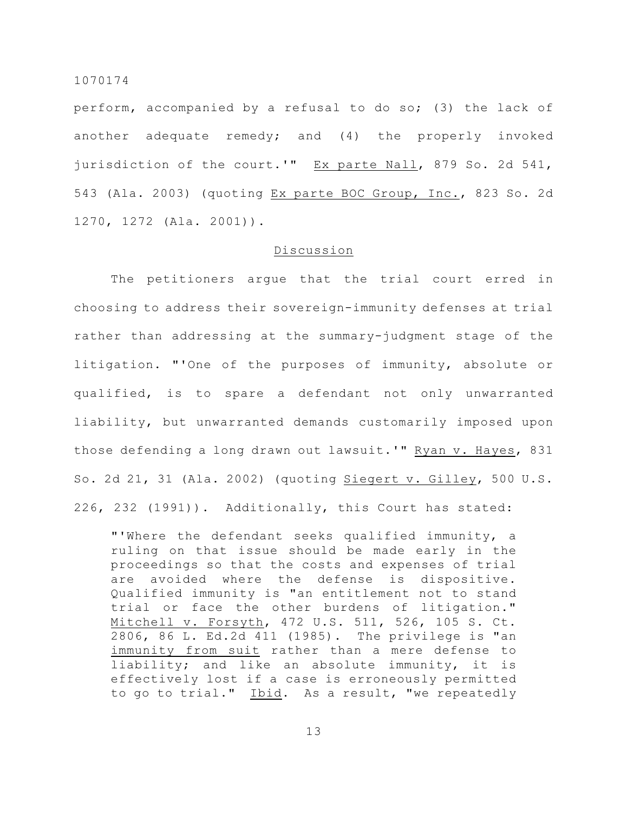perform, accompanied by a refusal to do so; (3) the lack of another adequate remedy; and (4) the properly invoked jurisdiction of the court.'" Ex parte Nall, 879 So. 2d 541, 543 (Ala. 2003) (quoting Ex parte BOC Group, Inc., 823 So. 2d 1270, 1272 (Ala. 2001)).

## Discussion

The petitioners argue that the trial court erred in choosing to address their sovereign-immunity defenses at trial rather than addressing at the summary-judgment stage of the litigation. "'One of the purposes of immunity, absolute or qualified, is to spare a defendant not only unwarranted liability, but unwarranted demands customarily imposed upon those defending a long drawn out lawsuit.'" Ryan v. Hayes, 831 So. 2d 21, 31 (Ala. 2002) (quoting Siegert v. Gilley, 500 U.S. 226, 232 (1991)). Additionally, this Court has stated:

"'Where the defendant seeks qualified immunity, a ruling on that issue should be made early in the proceedings so that the costs and expenses of trial are avoided where the defense is dispositive. Qualified immunity is "an entitlement not to stand trial or face the other burdens of litigation." Mitchell v. Forsyth, 472 U.S. 511, 526, 105 S. Ct. 2806, 86 L. Ed.2d 411 (1985). The privilege is "an immunity from suit rather than a mere defense to liability; and like an absolute immunity, it is effectively lost if a case is erroneously permitted to go to trial." Ibid. As a result, "we repeatedly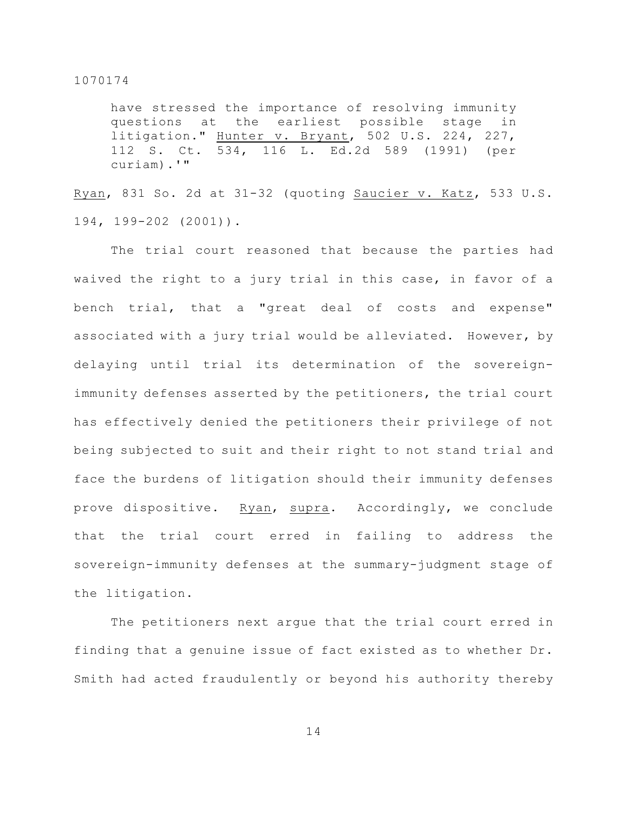have stressed the importance of resolving immunity questions at the earliest possible stage litigation." Hunter v. Bryant, 502 U.S. 224, 227, 112 S. Ct. 534, 116 L. Ed.2d 589 (1991) (per curiam).'"

Ryan, 831 So. 2d at 31-32 (quoting Saucier v. Katz, 533 U.S. 194, 199-202 (2001)).

The trial court reasoned that because the parties had waived the right to a jury trial in this case, in favor of a bench trial, that a "great deal of costs and expense" associated with a jury trial would be alleviated. However, by delaying until trial its determination of the sovereignimmunity defenses asserted by the petitioners, the trial court has effectively denied the petitioners their privilege of not being subjected to suit and their right to not stand trial and face the burdens of litigation should their immunity defenses prove dispositive. Ryan, supra. Accordingly, we conclude that the trial court erred in failing to address the sovereign-immunity defenses at the summary-judgment stage of the litigation.

The petitioners next argue that the trial court erred in finding that a genuine issue of fact existed as to whether Dr. Smith had acted fraudulently or beyond his authority thereby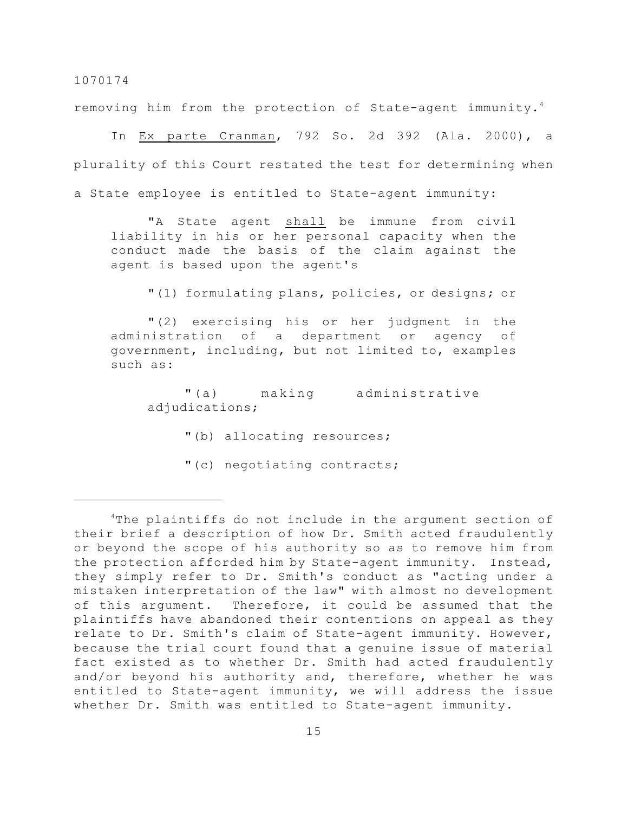removing him from the protection of State-agent immunity.<sup>4</sup>

In Ex parte Cranman, 792 So. 2d 392 (Ala. 2000), a plurality of this Court restated the test for determining when a State employee is entitled to State-agent immunity:

"A State agent shall be immune from civil liability in his or her personal capacity when the conduct made the basis of the claim against the agent is based upon the agent's

"(1) formulating plans, policies, or designs; or

"(2) exercising his or her judgment in the administration of a department or agency of government, including, but not limited to, examples such as:

"(a) making administrative adjudications;

"(b) allocating resources;

"(c) negotiating contracts;

 $4$ The plaintiffs do not include in the argument section of their brief a description of how Dr. Smith acted fraudulently or beyond the scope of his authority so as to remove him from the protection afforded him by State-agent immunity. Instead, they simply refer to Dr. Smith's conduct as "acting under a mistaken interpretation of the law" with almost no development of this argument. Therefore, it could be assumed that the plaintiffs have abandoned their contentions on appeal as they relate to Dr. Smith's claim of State-agent immunity. However, because the trial court found that a genuine issue of material fact existed as to whether Dr. Smith had acted fraudulently and/or beyond his authority and, therefore, whether he was entitled to State-agent immunity, we will address the issue whether Dr. Smith was entitled to State-agent immunity.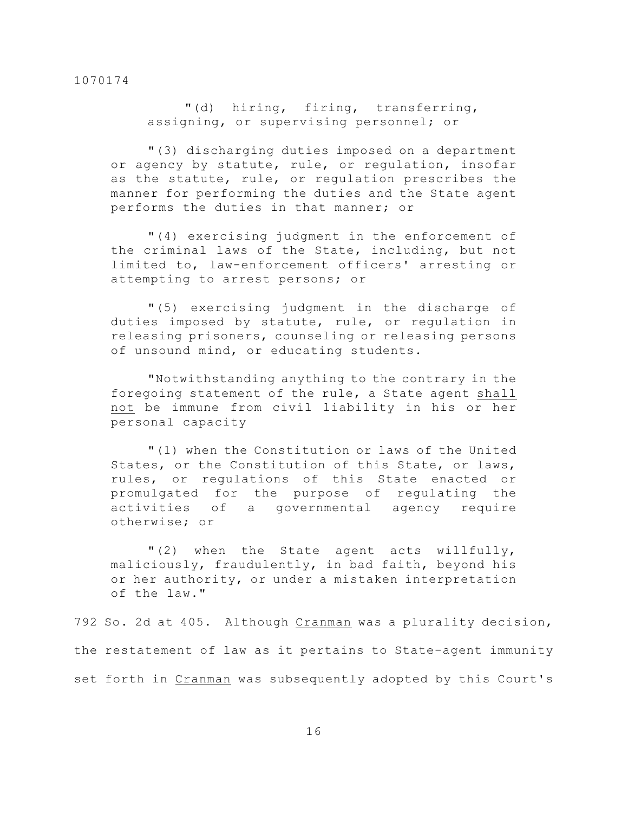"(d) hiring, firing, transferring, assigning, or supervising personnel; or

"(3) discharging duties imposed on a department or agency by statute, rule, or regulation, insofar as the statute, rule, or regulation prescribes the manner for performing the duties and the State agent performs the duties in that manner; or

"(4) exercising judgment in the enforcement of the criminal laws of the State, including, but not limited to, law-enforcement officers' arresting or attempting to arrest persons; or

"(5) exercising judgment in the discharge of duties imposed by statute, rule, or regulation in releasing prisoners, counseling or releasing persons of unsound mind, or educating students.

"Notwithstanding anything to the contrary in the foregoing statement of the rule, a State agent shall not be immune from civil liability in his or her personal capacity

"(1) when the Constitution or laws of the United States, or the Constitution of this State, or laws, rules, or regulations of this State enacted or promulgated for the purpose of regulating the activities of a governmental agency require otherwise; or

"(2) when the State agent acts willfully, maliciously, fraudulently, in bad faith, beyond his or her authority, or under a mistaken interpretation of the law."

792 So. 2d at 405. Although Cranman was a plurality decision, the restatement of law as it pertains to State-agent immunity set forth in Cranman was subsequently adopted by this Court's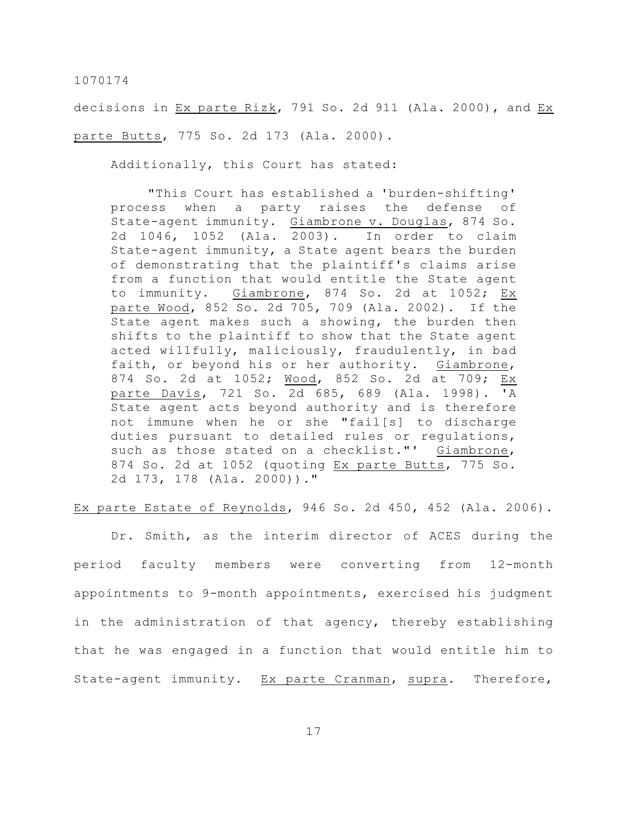decisions in Ex parte Rizk, 791 So. 2d 911 (Ala. 2000), and Ex parte Butts, 775 So. 2d 173 (Ala. 2000).

Additionally, this Court has stated:

"This Court has established a 'burden-shifting' process when a party raises the defense of State-agent immunity. Giambrone v. Douglas, 874 So. 2d 1046, 1052 (Ala. 2003). In order to claim State-agent immunity, a State agent bears the burden of demonstrating that the plaintiff's claims arise from a function that would entitle the State agent to immunity. Giambrone, 874 So. 2d at 1052; Ex parte Wood, 852 So. 2d 705, 709 (Ala. 2002). If the State agent makes such a showing, the burden then shifts to the plaintiff to show that the State agent acted willfully, maliciously, fraudulently, in bad faith, or beyond his or her authority. Giambrone, 874 So. 2d at 1052; Wood, 852 So. 2d at 709; Ex parte Davis, 721 So. 2d 685, 689 (Ala. 1998). 'A State agent acts beyond authority and is therefore not immune when he or she "fail[s] to discharge duties pursuant to detailed rules or regulations, such as those stated on a checklist."' Giambrone, 874 So. 2d at 1052 (quoting Ex parte Butts, 775 So. 2d 173, 178 (Ala. 2000))."

Ex parte Estate of Reynolds, 946 So. 2d 450, 452 (Ala. 2006).

Dr. Smith, as the interim director of ACES during the period faculty members were converting from 12-month appointments to 9-month appointments, exercised his judgment in the administration of that agency, thereby establishing that he was engaged in a function that would entitle him to State-agent immunity. Ex parte Cranman, supra. Therefore,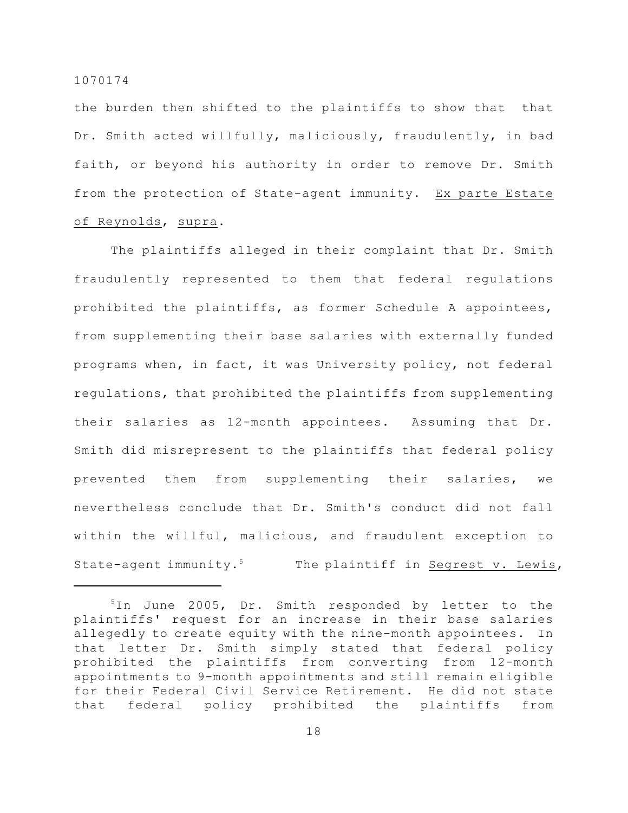the burden then shifted to the plaintiffs to show that that Dr. Smith acted willfully, maliciously, fraudulently, in bad faith, or beyond his authority in order to remove Dr. Smith from the protection of State-agent immunity. Ex parte Estate of Reynolds, supra.

The plaintiffs alleged in their complaint that Dr. Smith fraudulently represented to them that federal regulations prohibited the plaintiffs, as former Schedule A appointees, from supplementing their base salaries with externally funded programs when, in fact, it was University policy, not federal regulations, that prohibited the plaintiffs from supplementing their salaries as 12-month appointees. Assuming that Dr. Smith did misrepresent to the plaintiffs that federal policy prevented them from supplementing their salaries, we nevertheless conclude that Dr. Smith's conduct did not fall within the willful, malicious, and fraudulent exception to State-agent immunity.<sup>5</sup> The plaintiff in Segrest v. Lewis,

 $10$  June 2005, Dr. Smith responded by letter to the plaintiffs' request for an increase in their base salaries allegedly to create equity with the nine-month appointees. In that letter Dr. Smith simply stated that federal policy prohibited the plaintiffs from converting from 12-month appointments to 9-month appointments and still remain eligible for their Federal Civil Service Retirement. He did not state that federal policy prohibited the plaintiffs from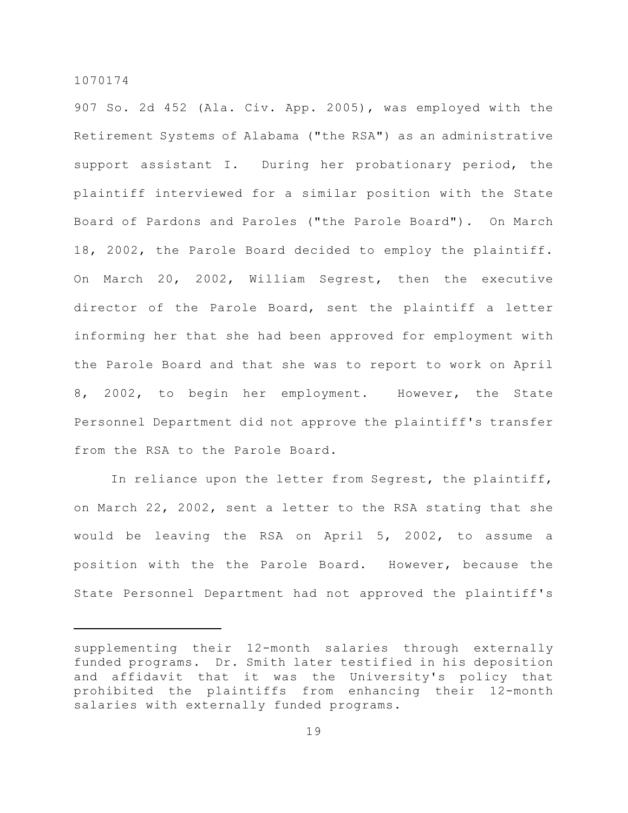907 So. 2d 452 (Ala. Civ. App. 2005), was employed with the Retirement Systems of Alabama ("the RSA") as an administrative support assistant I. During her probationary period, the plaintiff interviewed for a similar position with the State Board of Pardons and Paroles ("the Parole Board"). On March 18, 2002, the Parole Board decided to employ the plaintiff. On March 20, 2002, William Segrest, then the executive director of the Parole Board, sent the plaintiff a letter informing her that she had been approved for employment with the Parole Board and that she was to report to work on April 8, 2002, to begin her employment. However, the State Personnel Department did not approve the plaintiff's transfer from the RSA to the Parole Board.

In reliance upon the letter from Segrest, the plaintiff, on March 22, 2002, sent a letter to the RSA stating that she would be leaving the RSA on April 5, 2002, to assume a position with the the Parole Board. However, because the State Personnel Department had not approved the plaintiff's

supplementing their 12-month salaries through externally funded programs. Dr. Smith later testified in his deposition and affidavit that it was the University's policy that prohibited the plaintiffs from enhancing their 12-month salaries with externally funded programs.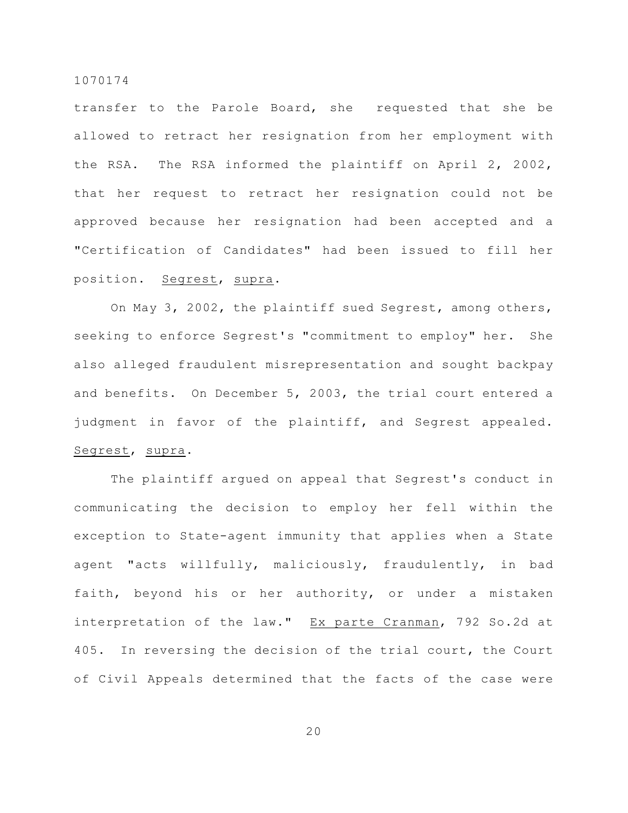transfer to the Parole Board, she requested that she be allowed to retract her resignation from her employment with the RSA. The RSA informed the plaintiff on April 2, 2002, that her request to retract her resignation could not be approved because her resignation had been accepted and a "Certification of Candidates" had been issued to fill her position. Segrest, supra.

On May 3, 2002, the plaintiff sued Segrest, among others, seeking to enforce Segrest's "commitment to employ" her. She also alleged fraudulent misrepresentation and sought backpay and benefits. On December 5, 2003, the trial court entered a judgment in favor of the plaintiff, and Segrest appealed. Segrest, supra.

The plaintiff argued on appeal that Segrest's conduct in communicating the decision to employ her fell within the exception to State-agent immunity that applies when a State agent "acts willfully, maliciously, fraudulently, in bad faith, beyond his or her authority, or under a mistaken interpretation of the law." Ex parte Cranman, 792 So.2d at 405. In reversing the decision of the trial court, the Court of Civil Appeals determined that the facts of the case were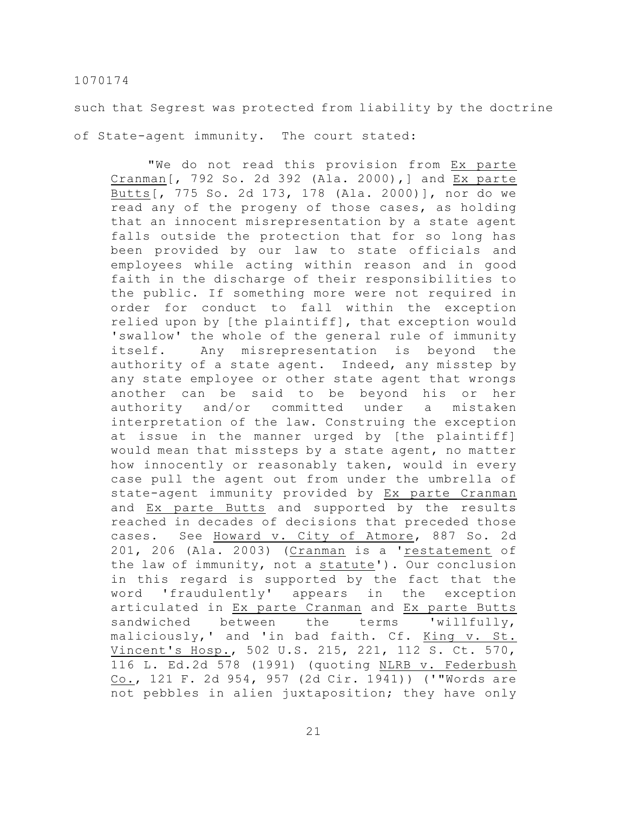such that Segrest was protected from liability by the doctrine of State-agent immunity. The court stated:

"We do not read this provision from Ex parte Cranman[, 792 So. 2d 392 (Ala. 2000),] and Ex parte Butts[, 775 So. 2d 173, 178 (Ala. 2000)], nor do we read any of the progeny of those cases, as holding that an innocent misrepresentation by a state agent falls outside the protection that for so long has been provided by our law to state officials and employees while acting within reason and in good faith in the discharge of their responsibilities to the public. If something more were not required in order for conduct to fall within the exception relied upon by [the plaintiff], that exception would 'swallow' the whole of the general rule of immunity itself. Any misrepresentation is beyond the authority of a state agent. Indeed, any misstep by any state employee or other state agent that wrongs another can be said to be beyond his or her authority and/or committed under a mistaken interpretation of the law. Construing the exception at issue in the manner urged by [the plaintiff] would mean that missteps by a state agent, no matter how innocently or reasonably taken, would in every case pull the agent out from under the umbrella of state-agent immunity provided by Ex parte Cranman and Ex parte Butts and supported by the results reached in decades of decisions that preceded those cases. See Howard v. City of Atmore, 887 So. 2d 201, 206 (Ala. 2003) (Cranman is a 'restatement of the law of immunity, not a statute'). Our conclusion in this regard is supported by the fact that the word 'fraudulently' appears in the exception articulated in Ex parte Cranman and Ex parte Butts sandwiched between the terms 'willfully, maliciously,' and 'in bad faith. Cf. King v. St. Vincent's Hosp., 502 U.S. 215, 221, 112 S. Ct. 570, 116 L. Ed.2d 578 (1991) (quoting NLRB v. Federbush Co., 121 F. 2d 954, 957 (2d Cir. 1941)) ('"Words are not pebbles in alien juxtaposition; they have only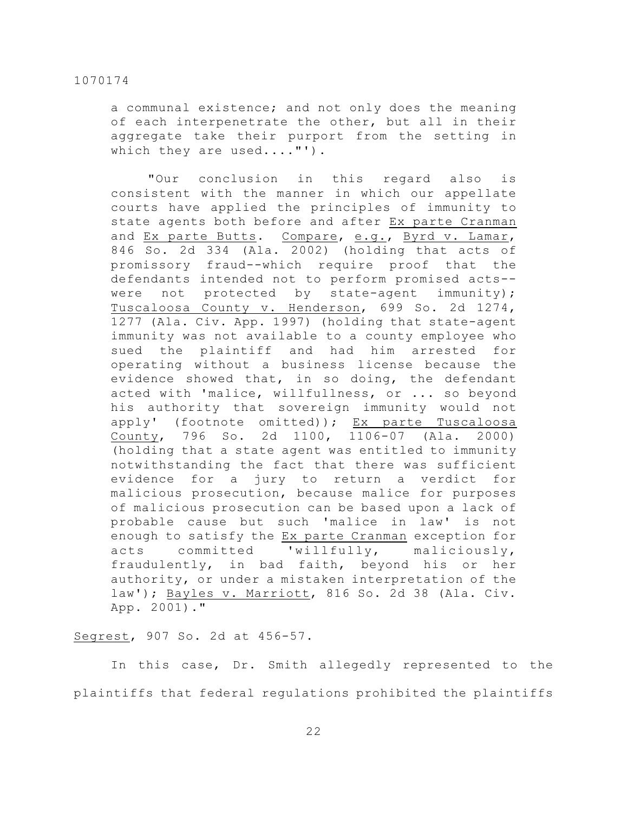a communal existence; and not only does the meaning of each interpenetrate the other, but all in their aggregate take their purport from the setting in which they are used...."').

"Our conclusion in this regard also is consistent with the manner in which our appellate courts have applied the principles of immunity to state agents both before and after Ex parte Cranman and Ex parte Butts. Compare, e.g., Byrd v. Lamar, 846 So. 2d 334 (Ala. 2002) (holding that acts of promissory fraud--which require proof that the defendants intended not to perform promised acts- were not protected by state-agent immunity); Tuscaloosa County v. Henderson, 699 So. 2d 1274, 1277 (Ala. Civ. App. 1997) (holding that state-agent immunity was not available to a county employee who sued the plaintiff and had him arrested for operating without a business license because the evidence showed that, in so doing, the defendant acted with 'malice, willfullness, or ... so beyond his authority that sovereign immunity would not apply' (footnote omitted)); Ex parte Tuscaloosa County, 796 So. 2d 1100, 1106-07 (Ala. 2000) (holding that a state agent was entitled to immunity notwithstanding the fact that there was sufficient evidence for a jury to return a verdict for malicious prosecution, because malice for purposes of malicious prosecution can be based upon a lack of probable cause but such 'malice in law' is not enough to satisfy the Ex parte Cranman exception for acts committed 'willfully, maliciously, fraudulently, in bad faith, beyond his or her authority, or under a mistaken interpretation of the law'); Bayles v. Marriott, 816 So. 2d 38 (Ala. Civ. App. 2001)."

#### Segrest, 907 So. 2d at 456-57.

In this case, Dr. Smith allegedly represented to the plaintiffs that federal regulations prohibited the plaintiffs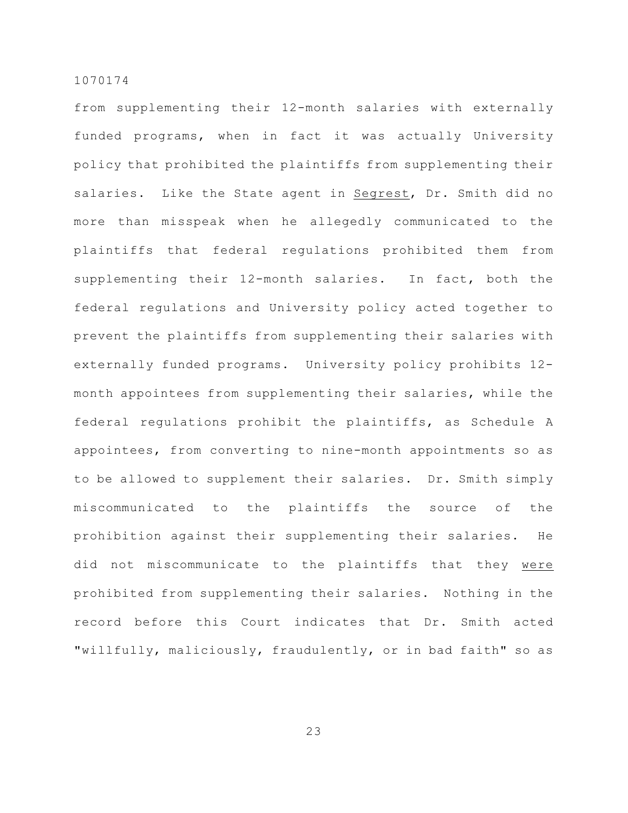from supplementing their 12-month salaries with externally funded programs, when in fact it was actually University policy that prohibited the plaintiffs from supplementing their salaries. Like the State agent in Segrest, Dr. Smith did no more than misspeak when he allegedly communicated to the plaintiffs that federal regulations prohibited them from supplementing their 12-month salaries. In fact, both the federal regulations and University policy acted together to prevent the plaintiffs from supplementing their salaries with externally funded programs. University policy prohibits 12 month appointees from supplementing their salaries, while the federal regulations prohibit the plaintiffs, as Schedule A appointees, from converting to nine-month appointments so as to be allowed to supplement their salaries. Dr. Smith simply miscommunicated to the plaintiffs the source of the prohibition against their supplementing their salaries. He did not miscommunicate to the plaintiffs that they were prohibited from supplementing their salaries. Nothing in the record before this Court indicates that Dr. Smith acted "willfully, maliciously, fraudulently, or in bad faith" so as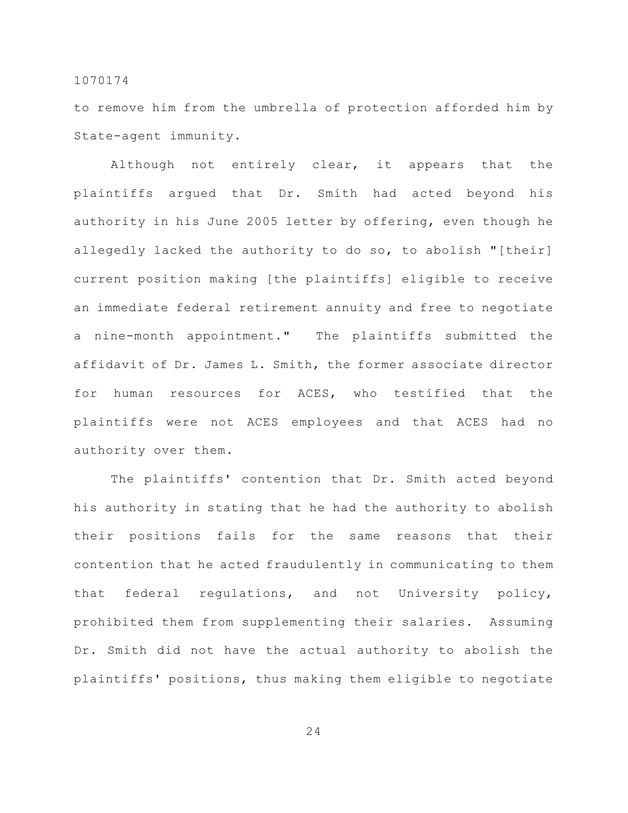to remove him from the umbrella of protection afforded him by State-agent immunity.

Although not entirely clear, it appears that the plaintiffs argued that Dr. Smith had acted beyond his authority in his June 2005 letter by offering, even though he allegedly lacked the authority to do so, to abolish "[their] current position making [the plaintiffs] eligible to receive an immediate federal retirement annuity and free to negotiate a nine-month appointment." The plaintiffs submitted the affidavit of Dr. James L. Smith, the former associate director for human resources for ACES, who testified that the plaintiffs were not ACES employees and that ACES had no authority over them.

The plaintiffs' contention that Dr. Smith acted beyond his authority in stating that he had the authority to abolish their positions fails for the same reasons that their contention that he acted fraudulently in communicating to them that federal regulations, and not University policy, prohibited them from supplementing their salaries. Assuming Dr. Smith did not have the actual authority to abolish the plaintiffs' positions, thus making them eligible to negotiate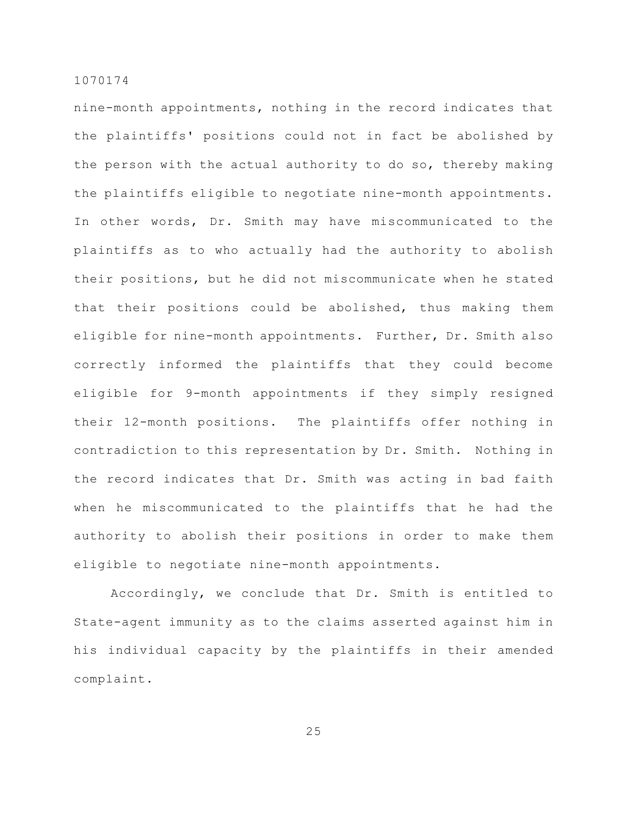nine-month appointments, nothing in the record indicates that the plaintiffs' positions could not in fact be abolished by the person with the actual authority to do so, thereby making the plaintiffs eligible to negotiate nine-month appointments. In other words, Dr. Smith may have miscommunicated to the plaintiffs as to who actually had the authority to abolish their positions, but he did not miscommunicate when he stated that their positions could be abolished, thus making them eligible for nine-month appointments. Further, Dr. Smith also correctly informed the plaintiffs that they could become eligible for 9-month appointments if they simply resigned their 12-month positions. The plaintiffs offer nothing in contradiction to this representation by Dr. Smith. Nothing in the record indicates that Dr. Smith was acting in bad faith when he miscommunicated to the plaintiffs that he had the authority to abolish their positions in order to make them eligible to negotiate nine-month appointments.

Accordingly, we conclude that Dr. Smith is entitled to State-agent immunity as to the claims asserted against him in his individual capacity by the plaintiffs in their amended complaint.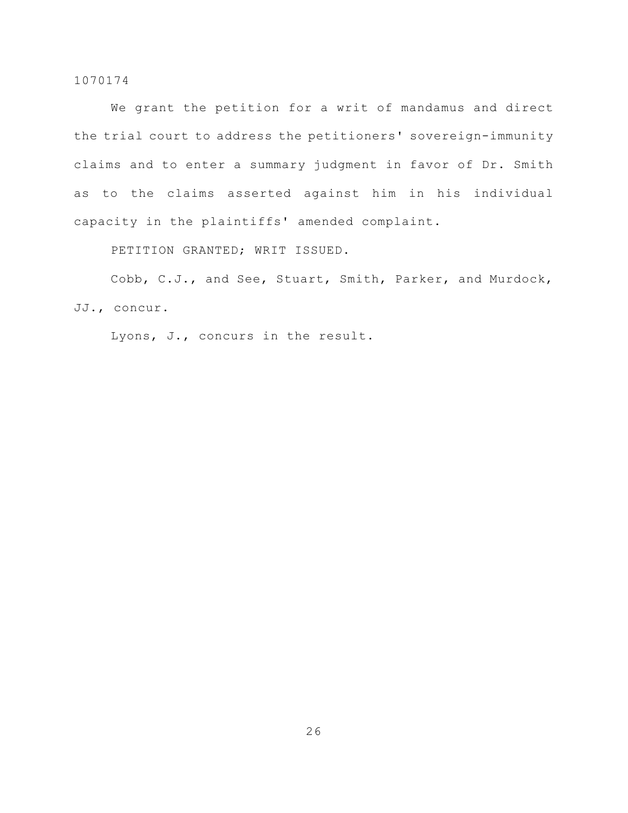We grant the petition for a writ of mandamus and direct the trial court to address the petitioners' sovereign-immunity claims and to enter a summary judgment in favor of Dr. Smith as to the claims asserted against him in his individual capacity in the plaintiffs' amended complaint.

PETITION GRANTED; WRIT ISSUED.

Cobb, C.J., and See, Stuart, Smith, Parker, and Murdock, JJ., concur.

Lyons, J., concurs in the result.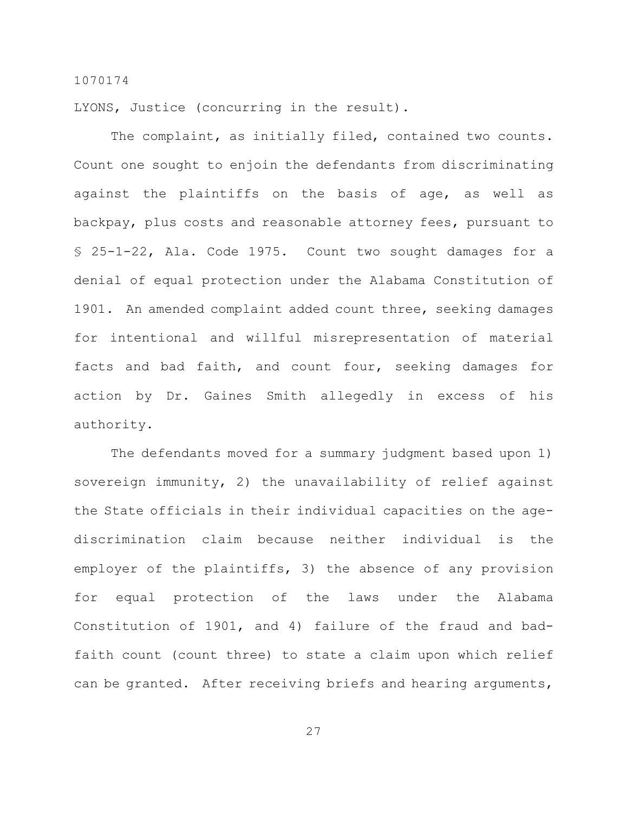LYONS, Justice (concurring in the result).

The complaint, as initially filed, contained two counts. Count one sought to enjoin the defendants from discriminating against the plaintiffs on the basis of age, as well as backpay, plus costs and reasonable attorney fees, pursuant to § 25-1-22, Ala. Code 1975. Count two sought damages for a denial of equal protection under the Alabama Constitution of 1901. An amended complaint added count three, seeking damages for intentional and willful misrepresentation of material facts and bad faith, and count four, seeking damages for action by Dr. Gaines Smith allegedly in excess of his authority.

The defendants moved for a summary judgment based upon 1) sovereign immunity, 2) the unavailability of relief against the State officials in their individual capacities on the agediscrimination claim because neither individual is the employer of the plaintiffs, 3) the absence of any provision for equal protection of the laws under the Alabama Constitution of 1901, and 4) failure of the fraud and badfaith count (count three) to state a claim upon which relief can be granted. After receiving briefs and hearing arguments,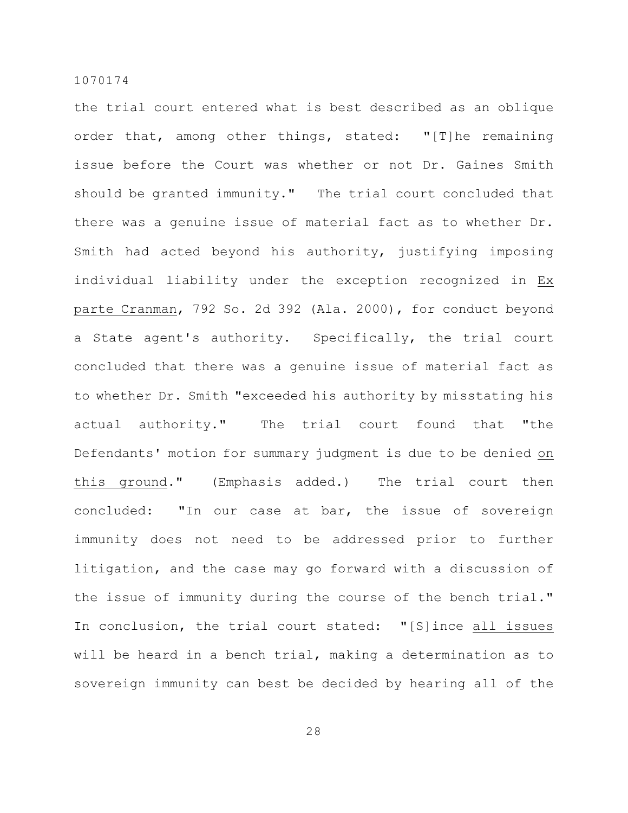the trial court entered what is best described as an oblique order that, among other things, stated: "[T]he remaining issue before the Court was whether or not Dr. Gaines Smith should be granted immunity." The trial court concluded that there was a genuine issue of material fact as to whether Dr. Smith had acted beyond his authority, justifying imposing individual liability under the exception recognized in Ex parte Cranman, 792 So. 2d 392 (Ala. 2000), for conduct beyond a State agent's authority. Specifically, the trial court concluded that there was a genuine issue of material fact as to whether Dr. Smith "exceeded his authority by misstating his actual authority." The trial court found that "the Defendants' motion for summary judgment is due to be denied on this ground." (Emphasis added.) The trial court then concluded: "In our case at bar, the issue of sovereign immunity does not need to be addressed prior to further litigation, and the case may go forward with a discussion of the issue of immunity during the course of the bench trial." In conclusion, the trial court stated: "[S]ince all issues will be heard in a bench trial, making a determination as to sovereign immunity can best be decided by hearing all of the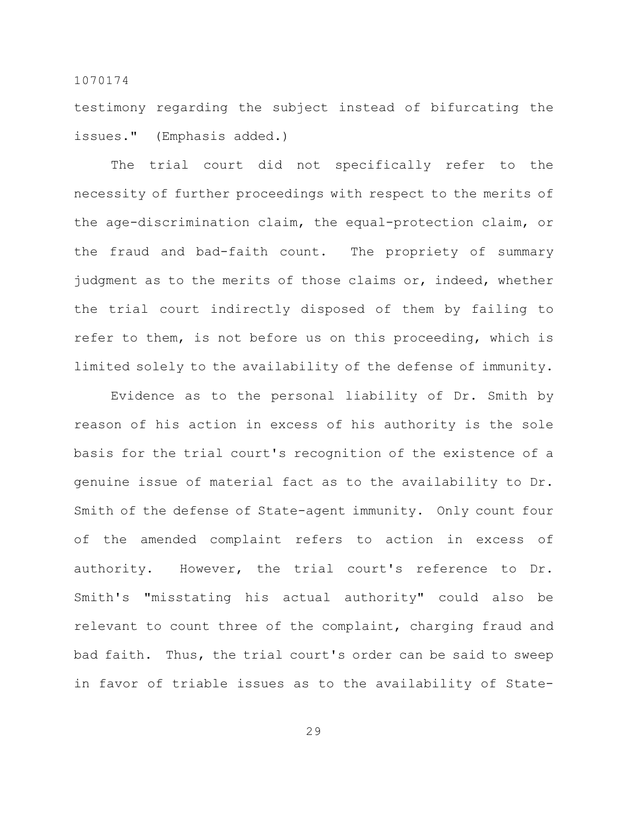testimony regarding the subject instead of bifurcating the issues." (Emphasis added.)

The trial court did not specifically refer to the necessity of further proceedings with respect to the merits of the age-discrimination claim, the equal-protection claim, or the fraud and bad-faith count. The propriety of summary judgment as to the merits of those claims or, indeed, whether the trial court indirectly disposed of them by failing to refer to them, is not before us on this proceeding, which is limited solely to the availability of the defense of immunity.

Evidence as to the personal liability of Dr. Smith by reason of his action in excess of his authority is the sole basis for the trial court's recognition of the existence of a genuine issue of material fact as to the availability to Dr. Smith of the defense of State-agent immunity. Only count four of the amended complaint refers to action in excess of authority. However, the trial court's reference to Dr. Smith's "misstating his actual authority" could also be relevant to count three of the complaint, charging fraud and bad faith. Thus, the trial court's order can be said to sweep in favor of triable issues as to the availability of State-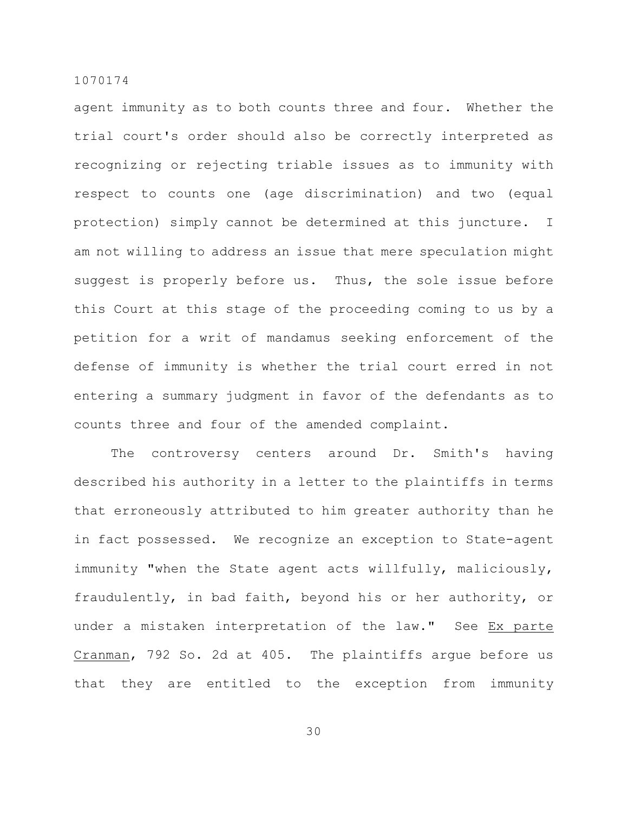agent immunity as to both counts three and four. Whether the trial court's order should also be correctly interpreted as recognizing or rejecting triable issues as to immunity with respect to counts one (age discrimination) and two (equal protection) simply cannot be determined at this juncture. I am not willing to address an issue that mere speculation might suggest is properly before us. Thus, the sole issue before this Court at this stage of the proceeding coming to us by a petition for a writ of mandamus seeking enforcement of the defense of immunity is whether the trial court erred in not entering a summary judgment in favor of the defendants as to counts three and four of the amended complaint.

The controversy centers around Dr. Smith's having described his authority in a letter to the plaintiffs in terms that erroneously attributed to him greater authority than he in fact possessed. We recognize an exception to State-agent immunity "when the State agent acts willfully, maliciously, fraudulently, in bad faith, beyond his or her authority, or under a mistaken interpretation of the law." See Ex parte Cranman, 792 So. 2d at 405. The plaintiffs argue before us that they are entitled to the exception from immunity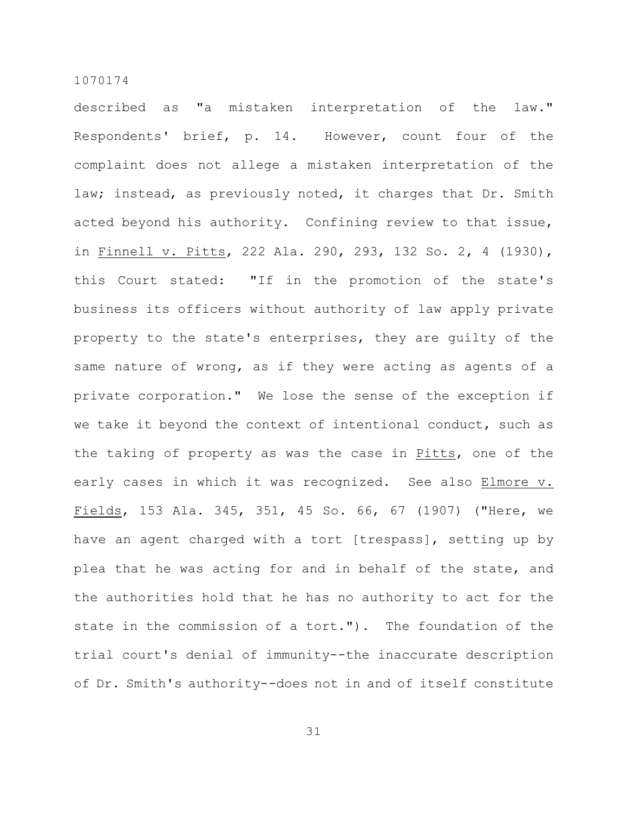described as "a mistaken interpretation of the law." Respondents' brief, p. 14. However, count four of the complaint does not allege a mistaken interpretation of the law; instead, as previously noted, it charges that Dr. Smith acted beyond his authority. Confining review to that issue, in Finnell v. Pitts, 222 Ala. 290, 293, 132 So. 2, 4 (1930), this Court stated: "If in the promotion of the state's business its officers without authority of law apply private property to the state's enterprises, they are guilty of the same nature of wrong, as if they were acting as agents of a private corporation." We lose the sense of the exception if we take it beyond the context of intentional conduct, such as the taking of property as was the case in Pitts, one of the early cases in which it was recognized. See also Elmore v. Fields, 153 Ala. 345, 351, 45 So. 66, 67 (1907) ("Here, we have an agent charged with a tort [trespass], setting up by plea that he was acting for and in behalf of the state, and the authorities hold that he has no authority to act for the state in the commission of a tort."). The foundation of the trial court's denial of immunity--the inaccurate description of Dr. Smith's authority--does not in and of itself constitute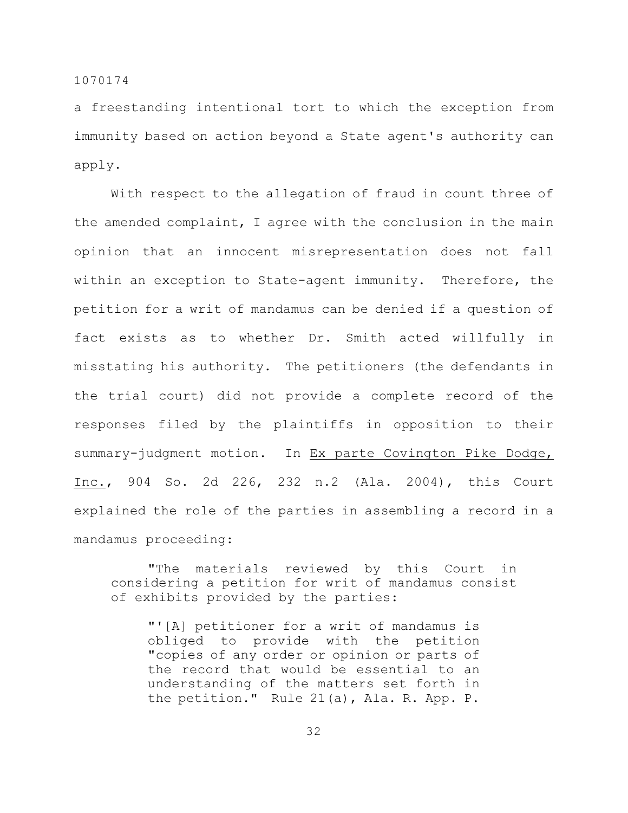a freestanding intentional tort to which the exception from immunity based on action beyond a State agent's authority can apply.

With respect to the allegation of fraud in count three of the amended complaint, I agree with the conclusion in the main opinion that an innocent misrepresentation does not fall within an exception to State-agent immunity. Therefore, the petition for a writ of mandamus can be denied if a question of fact exists as to whether Dr. Smith acted willfully in misstating his authority. The petitioners (the defendants in the trial court) did not provide a complete record of the responses filed by the plaintiffs in opposition to their summary-judgment motion. In Ex parte Covington Pike Dodge, Inc., 904 So. 2d 226, 232 n.2 (Ala. 2004), this Court explained the role of the parties in assembling a record in a mandamus proceeding:

"The materials reviewed by this Court in considering a petition for writ of mandamus consist of exhibits provided by the parties:

"'[A] petitioner for a writ of mandamus is obliged to provide with the petition "copies of any order or opinion or parts of the record that would be essential to an understanding of the matters set forth in the petition." Rule 21(a), Ala. R. App. P.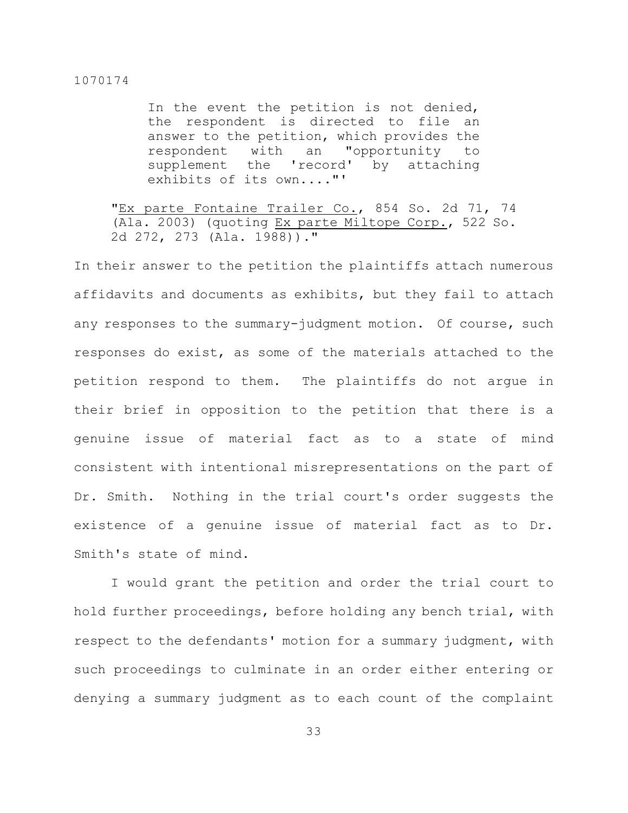In the event the petition is not denied, the respondent is directed to file an answer to the petition, which provides the respondent with an "opportunity to supplement the 'record' by attaching exhibits of its own...."'

"Ex parte Fontaine Trailer Co., 854 So. 2d 71, 74 (Ala. 2003) (quoting Ex parte Miltope Corp., 522 So. 2d 272, 273 (Ala. 1988))."

In their answer to the petition the plaintiffs attach numerous affidavits and documents as exhibits, but they fail to attach any responses to the summary-judgment motion. Of course, such responses do exist, as some of the materials attached to the petition respond to them. The plaintiffs do not argue in their brief in opposition to the petition that there is a genuine issue of material fact as to a state of mind consistent with intentional misrepresentations on the part of Dr. Smith. Nothing in the trial court's order suggests the existence of a genuine issue of material fact as to Dr. Smith's state of mind.

I would grant the petition and order the trial court to hold further proceedings, before holding any bench trial, with respect to the defendants' motion for a summary judgment, with such proceedings to culminate in an order either entering or denying a summary judgment as to each count of the complaint